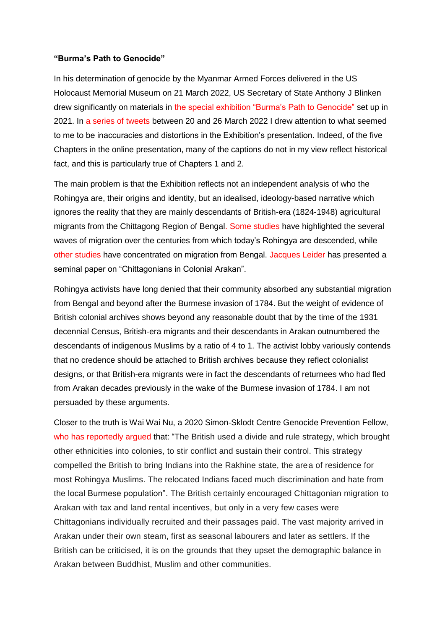## **"Burma's Path to Genocide"**

In his determination of genocide by the Myanmar Armed Forces delivered in the US Holocaust Memorial Museum on 21 March 2022, US Secretary of State Anthony J Blinken drew significantly on materials in [the special exhibition "Burma's Path to Genocide"](https://exhibitions.ushmm.org/burmas-path-to-genocide) set up in 2021. In [a series of tweets](http://www.networkmyanmar.org/ESW/Files/USHMM-Tweets.pdf) between 20 and 26 March 2022 I drew attention to what seemed to me to be inaccuracies and distortions in the Exhibition's presentation. Indeed, of the five Chapters in the online presentation, many of the captions do not in my view reflect historical fact, and this is particularly true of Chapters 1 and 2.

The main problem is that the Exhibition reflects not an independent analysis of who the Rohingya are, their origins and identity, but an idealised, ideology-based narrative which ignores the reality that they are mainly descendants of British-era (1824-1948) agricultural migrants from the Chittagong Region of Bengal. [Some studies](http://www.networkmyanmar.org/ESW/Files/Thibaut-5.pdf) have highlighted the several waves of migration over the centuries from which today's Rohingya are descended, while [other studies](https://www.toaep.org/ops-pdf/10-tonkin) have concentrated on migration from Bengal. [Jacques Leider](http://www.networkmyanmar.org/ESW/Files/PS_40,_Chapter_6,_Leider_Chittagonians.pdf) has presented a seminal paper on "Chittagonians in Colonial Arakan".

Rohingya activists have long denied that their community absorbed any substantial migration from Bengal and beyond after the Burmese invasion of 1784. But the weight of evidence of British colonial archives shows beyond any reasonable doubt that by the time of the 1931 decennial Census, British-era migrants and their descendants in Arakan outnumbered the descendants of indigenous Muslims by a ratio of 4 to 1. The activist lobby variously contends that no credence should be attached to British archives because they reflect colonialist designs, or that British-era migrants were in fact the descendants of returnees who had fled from Arakan decades previously in the wake of the Burmese invasion of 1784. I am not persuaded by these arguments.

Closer to the truth is Wai Wai Nu, a 2020 Simon-Sklodt Centre Genocide Prevention Fellow, [who has reportedly argued](https://yaledailynews.com/blog/2020/10/26/teach-in-on-rohingya-genocide-in-myanmar/) that: "The British used a divide and rule strategy, which brought other ethnicities into colonies, to stir conflict and sustain their control. This strategy compelled the British to bring Indians into the Rakhine state, the area of residence for most Rohingya Muslims. The relocated Indians faced much discrimination and hate from the local Burmese population". The British certainly encouraged Chittagonian migration to Arakan with tax and land rental incentives, but only in a very few cases were Chittagonians individually recruited and their passages paid. The vast majority arrived in Arakan under their own steam, first as seasonal labourers and later as settlers. If the British can be criticised, it is on the grounds that they upset the demographic balance in Arakan between Buddhist, Muslim and other communities.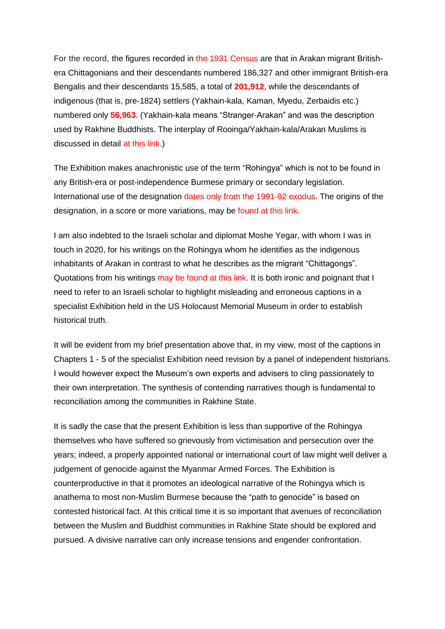For the record, the figures recorded in [the 1931 Census](http://web.archive.org/web/20160430043728/http:/www.networkmyanmar.org/images/stories/PDF16/1931-Census-Tables.pdf) are that in Arakan migrant Britishera Chittagonians and their descendants numbered 186,327 and other immigrant British-era Bengalis and their descendants 15,585, a total of **201,912**, while the descendants of indigenous (that is, pre-1824) settlers (Yakhain-kala, Kaman, Myedu, Zerbaidis etc.) numbered only **56,963**. (Yakhain-kala means "Stranger-Arakan" and was the description used by Rakhine Buddhists. The interplay of Rooinga/Yakhain-kala/Arakan Muslims is discussed in detail [at this link.](http://www.networkmyanmar.org/ESW/Files/Ronan-Lee-Critique.pdf))

The Exhibition makes anachronistic use of the term "Rohingya" which is not to be found in any British-era or post-independence Burmese primary or secondary legislation. International use of the designation [dates only from the 1991-92 exodus.](http://www.networkmyanmar.org/ESW/Files/Rohingya-International-Utilisation.pdf) The origins of the designation, in a score or more variations, may be [found at this link.](http://www.networkmyanmar.org/ESW/Files/Table-of-Designations.pdf)

I am also indebted to the Israeli scholar and diplomat Moshe Yegar, with whom I was in touch in 2020, for his writings on the Rohingya whom he identifies as the indigenous inhabitants of Arakan in contrast to what he describes as the migrant "Chittagongs". Quotations from his writings [may be found at this link.](http://www.networkmyanmar.org/Rohang.html) It is both ironic and poignant that I need to refer to an Israeli scholar to highlight misleading and erroneous captions in a specialist Exhibition held in the US Holocaust Memorial Museum in order to establish historical truth.

It will be evident from my brief presentation above that, in my view, most of the captions in Chapters 1 - 5 of the specialist Exhibition need revision by a panel of independent historians. I would however expect the Museum's own experts and advisers to cling passionately to their own interpretation. The synthesis of contending narratives though is fundamental to reconciliation among the communities in Rakhine State.

It is sadly the case that the present Exhibition is less than supportive of the Rohingya themselves who have suffered so grievously from victimisation and persecution over the years; indeed, a properly appointed national or international court of law might well deliver a judgement of genocide against the Myanmar Armed Forces. The Exhibition is counterproductive in that it promotes an ideological narrative of the Rohingya which is anathema to most non-Muslim Burmese because the "path to genocide" is based on contested historical fact. At this critical time it is so important that avenues of reconciliation between the Muslim and Buddhist communities in Rakhine State should be explored and pursued. A divisive narrative can only increase tensions and engender confrontation.